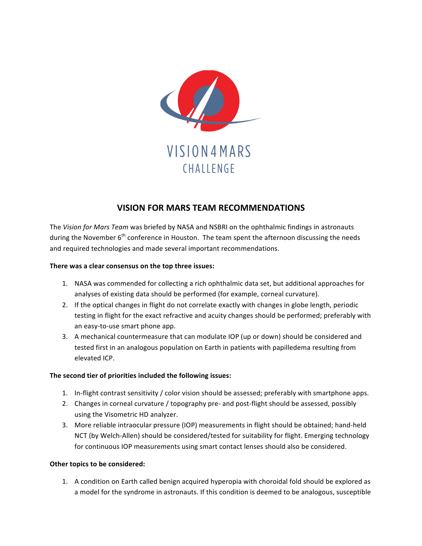

## **VISION FOR MARS TEAM RECOMMENDATIONS**

The Vision for Mars Team was briefed by NASA and NSBRI on the ophthalmic findings in astronauts during the November  $6<sup>th</sup>$  conference in Houston. The team spent the afternoon discussing the needs and required technologies and made several important recommendations.

## There was a clear consensus on the top three issues:

- 1. NASA was commended for collecting a rich ophthalmic data set, but additional approaches for analyses of existing data should be performed (for example, corneal curvature).
- 2. If the optical changes in flight do not correlate exactly with changes in globe length, periodic testing in flight for the exact refractive and acuity changes should be performed; preferably with an easy-to-use smart phone app.
- 3. A mechanical countermeasure that can modulate IOP (up or down) should be considered and tested first in an analogous population on Earth in patients with papilledema resulting from elevated ICP.

## The second tier of priorities included the following issues:

- 1. In-flight contrast sensitivity / color vision should be assessed; preferably with smartphone apps.
- 2. Changes in corneal curvature / topography pre- and post-flight should be assessed, possibly using the Visometric HD analyzer.
- 3. More reliable intraocular pressure (IOP) measurements in flight should be obtained; hand-held NCT (by Welch-Allen) should be considered/tested for suitability for flight. Emerging technology for continuous IOP measurements using smart contact lenses should also be considered.

## **Other topics to be considered:**

1. A condition on Earth called benign acquired hyperopia with choroidal fold should be explored as a model for the syndrome in astronauts. If this condition is deemed to be analogous, susceptible